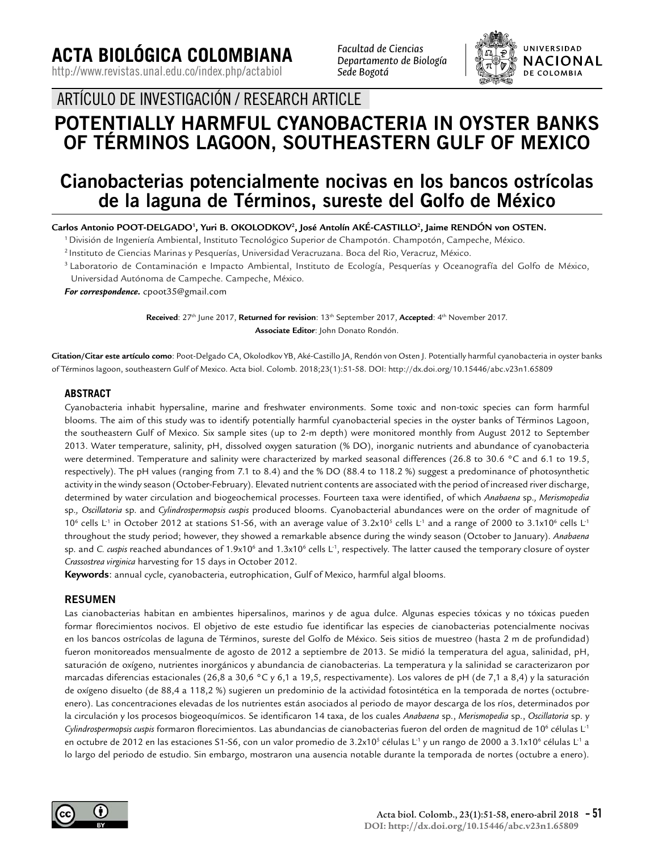**ACTA BIOLÓGICA COLOMBIANA**

http://www.revistas.unal.edu.co/index.php/actabiol

*Facultad de Ciencias Departamento de Biología Sede Bogotá*



ARTÍCULO DE INVESTIGACIÓN / RESEARCH ARTICLE

# **POTENTIALLY HARMFUL CYANOBACTERIA IN OYSTER BANKS OF TÉRMINOS LAGOON, SOUTHEASTERN GULF OF MEXICO**

# **Cianobacterias potencialmente nocivas en los bancos ostrícolas de la laguna de Términos, sureste del Golfo de México**

**Carlos Antonio POOT-DELGADO1 , Yuri B. OKOLODKOV2 , José Antolín AKÉ-CASTILLO2 , Jaime RENDÓN von OSTEN.**

1 División de Ingeniería Ambiental, Instituto Tecnológico Superior de Champotón. Champotón, Campeche, México.

2 Instituto de Ciencias Marinas y Pesquerías, Universidad Veracruzana. Boca del Rio, Veracruz, México.

3 Laboratorio de Contaminación e Impacto Ambiental, Instituto de Ecología, Pesquerías y Oceanografía del Golfo de México, Universidad Autónoma de Campeche. Campeche, México.

*For correspondence.* cpoot35@gmail.com

**Received**: 27th June 2017, **Returned for revision**: 13th September 2017, **Accepted**: 4th November 2017. **Associate Editor**: John Donato Rondón.

**Citation/Citar este artículo como**: Poot-Delgado CA, Okolodkov YB, Aké-Castillo JA, Rendón von Osten J. Potentially harmful cyanobacteria in oyster banks of Términos lagoon, southeastern Gulf of Mexico. Acta biol. Colomb. 2018;23(1):51-58. DOI: http://dx.doi.org/10.15446/abc.v23n1.65809

## **ABSTRACT**

Cyanobacteria inhabit hypersaline, marine and freshwater environments. Some toxic and non-toxic species can form harmful blooms. The aim of this study was to identify potentially harmful cyanobacterial species in the oyster banks of Términos Lagoon, the southeastern Gulf of Mexico. Six sample sites (up to 2-m depth) were monitored monthly from August 2012 to September 2013. Water temperature, salinity, pH, dissolved oxygen saturation (% DO), inorganic nutrients and abundance of cyanobacteria were determined. Temperature and salinity were characterized by marked seasonal differences (26.8 to 30.6 °C and 6.1 to 19.5, respectively). The pH values (ranging from 7.1 to 8.4) and the % DO (88.4 to 118.2 %) suggest a predominance of photosynthetic activity in the windy season (October-February). Elevated nutrient contents are associated with the period of increased river discharge, determined by water circulation and biogeochemical processes. Fourteen taxa were identified, of which *Anabaena* sp.*, Merismopedia*  sp.*, Oscillatoria* sp. and *Cylindrospermopsis cuspis* produced blooms. Cyanobacterial abundances were on the order of magnitude of 10<sup>6</sup> cells L<sup>-1</sup> in October 2012 at stations S1-S6, with an average value of 3.2x10<sup>5</sup> cells L<sup>-1</sup> and a range of 2000 to 3.1x10<sup>6</sup> cells L<sup>-1</sup> throughout the study period; however, they showed a remarkable absence during the windy season (October to January). *Anabaena*  sp. and *C. cuspis* reached abundances of 1.9x10<sup>6</sup> and 1.3x10<sup>6</sup> cells L<sup>1</sup>, respectively. The latter caused the temporary closure of oyster *Crassostrea virginica* harvesting for 15 days in October 2012.

**Keywords**: annual cycle, cyanobacteria, eutrophication, Gulf of Mexico, harmful algal blooms.

# **RESUMEN**

Las cianobacterias habitan en ambientes hipersalinos, marinos y de agua dulce. Algunas especies tóxicas y no tóxicas pueden formar florecimientos nocivos. El objetivo de este estudio fue identificar las especies de cianobacterias potencialmente nocivas en los bancos ostrícolas de laguna de Términos, sureste del Golfo de México. Seis sitios de muestreo (hasta 2 m de profundidad) fueron monitoreados mensualmente de agosto de 2012 a septiembre de 2013. Se midió la temperatura del agua, salinidad, pH, saturación de oxígeno, nutrientes inorgánicos y abundancia de cianobacterias. La temperatura y la salinidad se caracterizaron por marcadas diferencias estacionales (26,8 a 30,6 °C y 6,1 a 19,5, respectivamente). Los valores de pH (de 7,1 a 8,4) y la saturación de oxígeno disuelto (de 88,4 a 118,2 %) sugieren un predominio de la actividad fotosintética en la temporada de nortes (octubreenero). Las concentraciones elevadas de los nutrientes están asociados al periodo de mayor descarga de los ríos, determinados por la circulación y los procesos biogeoquímicos. Se identificaron 14 taxa, de los cuales *Anabaena* sp., *Merismopedia* sp., *Oscillatoria* sp. y Cy*lindrospermopsis cuspis* formaron florecimientos. Las abundancias de cianobacterias fueron del orden de magnitud de 10<sup>6</sup> células L<sup>-1</sup> en octubre de 2012 en las estaciones S1-S6, con un valor promedio de 3.2x10<sup>s</sup> células L<sup>-1</sup> y un rango de 2000 a 3.1x10<sup>6</sup> células L<sup>-1</sup> a lo largo del periodo de estudio. Sin embargo, mostraron una ausencia notable durante la temporada de nortes (octubre a enero).

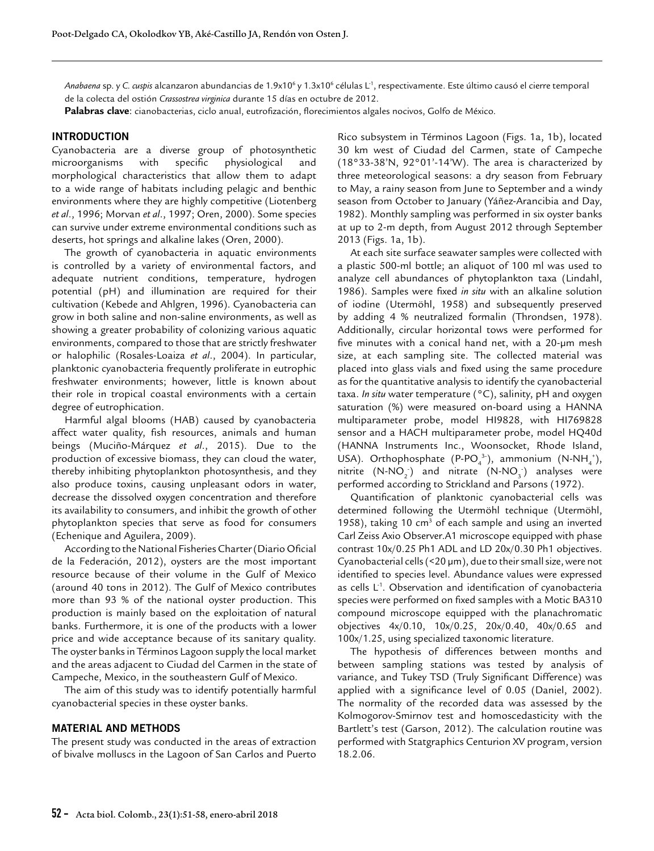*Anabaena* sp. y C. *cuspis* alcanzaron abundancias de 1.9x10<sup>6</sup> y 1.3x10<sup>6</sup> células L<sup>.</sup>1, respectivamente. Este último causó el cierre temporal de la colecta del ostión *Crassostrea virginica* durante 15 días en octubre de 2012.

**Palabras clave**: cianobacterias, ciclo anual, eutrofización, florecimientos algales nocivos, Golfo de México.

#### **INTRODUCTION**

Cyanobacteria are a diverse group of photosynthetic microorganisms with specific physiological and morphological characteristics that allow them to adapt to a wide range of habitats including pelagic and benthic environments where they are highly competitive (Liotenberg *et al*., 1996; Morvan *et al*., 1997; Oren, 2000). Some species can survive under extreme environmental conditions such as deserts, hot springs and alkaline lakes (Oren, 2000).

The growth of cyanobacteria in aquatic environments is controlled by a variety of environmental factors, and adequate nutrient conditions, temperature, hydrogen potential (pH) and illumination are required for their cultivation (Kebede and Ahlgren, 1996). Cyanobacteria can grow in both saline and non-saline environments, as well as showing a greater probability of colonizing various aquatic environments, compared to those that are strictly freshwater or halophilic (Rosales-Loaiza *et al*., 2004). In particular, planktonic cyanobacteria frequently proliferate in eutrophic freshwater environments; however, little is known about their role in tropical coastal environments with a certain degree of eutrophication.

Harmful algal blooms (HAB) caused by cyanobacteria affect water quality, fish resources, animals and human beings (Muciño-Márquez *et al*., 2015). Due to the production of excessive biomass, they can cloud the water, thereby inhibiting phytoplankton photosynthesis, and they also produce toxins, causing unpleasant odors in water, decrease the dissolved oxygen concentration and therefore its availability to consumers, and inhibit the growth of other phytoplankton species that serve as food for consumers (Echenique and Aguilera, 2009).

According to the National Fisheries Charter (Diario Oficial de la Federación, 2012), oysters are the most important resource because of their volume in the Gulf of Mexico (around 40 tons in 2012). The Gulf of Mexico contributes more than 93 % of the national oyster production. This production is mainly based on the exploitation of natural banks. Furthermore, it is one of the products with a lower price and wide acceptance because of its sanitary quality. The oyster banks in Términos Lagoon supply the local market and the areas adjacent to Ciudad del Carmen in the state of Campeche, Mexico, in the southeastern Gulf of Mexico.

The aim of this study was to identify potentially harmful cyanobacterial species in these oyster banks.

#### **MATERIAL AND METHODS**

The present study was conducted in the areas of extraction of bivalve molluscs in the Lagoon of San Carlos and Puerto Rico subsystem in Términos Lagoon (Figs. 1a, 1b), located 30 km west of Ciudad del Carmen, state of Campeche (18°33-38'N, 92°01'-14'W). The area is characterized by three meteorological seasons: a dry season from February to May, a rainy season from June to September and a windy season from October to January (Yáñez-Arancibia and Day, 1982). Monthly sampling was performed in six oyster banks at up to 2-m depth, from August 2012 through September 2013 (Figs. 1a, 1b).

At each site surface seawater samples were collected with a plastic 500-ml bottle; an aliquot of 100 ml was used to analyze cell abundances of phytoplankton taxa (Lindahl, 1986). Samples were fixed *in situ* with an alkaline solution of iodine (Utermöhl, 1958) and subsequently preserved by adding 4 % neutralized formalin (Throndsen, 1978). Additionally, circular horizontal tows were performed for five minutes with a conical hand net, with a 20-μm mesh size, at each sampling site. The collected material was placed into glass vials and fixed using the same procedure as for the quantitative analysis to identify the cyanobacterial taxa. *In situ* water temperature (°C), salinity, pH and oxygen saturation (%) were measured on-board using a HANNA multiparameter probe, model HI9828, with HI769828 sensor and a HACH multiparameter probe, model HQ40d (HANNA Instruments Inc., Woonsocket, Rhode Island, USA). Orthophosphate (P-PO<sub>4</sub><sup>3</sup>), ammonium (N-NH<sub>4</sub><sup>+</sup>), nitrite  $(N-NO_2)$  and nitrate  $(N-NO_3)$  analyses were performed according to Strickland and Parsons (1972).

Quantification of planktonic cyanobacterial cells was determined following the Utermöhl technique (Utermöhl, 1958), taking 10  $cm<sup>3</sup>$  of each sample and using an inverted Carl Zeiss Axio Observer.A1 microscope equipped with phase contrast 10x/0.25 Ph1 ADL and LD 20x/0.30 Ph1 objectives. Cyanobacterial cells (<20 µm), due to their small size, were not identified to species level. Abundance values were expressed as cells  $L<sup>1</sup>$ . Observation and identification of cyanobacteria species were performed on fixed samples with a Motic BA310 compound microscope equipped with the planachromatic objectives 4x/0.10, 10x/0.25, 20x/0.40, 40x/0.65 and 100x/1.25, using specialized taxonomic literature.

The hypothesis of differences between months and between sampling stations was tested by analysis of variance, and Tukey TSD (Truly Significant Difference) was applied with a significance level of 0.05 (Daniel, 2002). The normality of the recorded data was assessed by the Kolmogorov-Smirnov test and homoscedasticity with the Bartlett's test (Garson, 2012). The calculation routine was performed with Statgraphics Centurion XV program, version 18.2.06.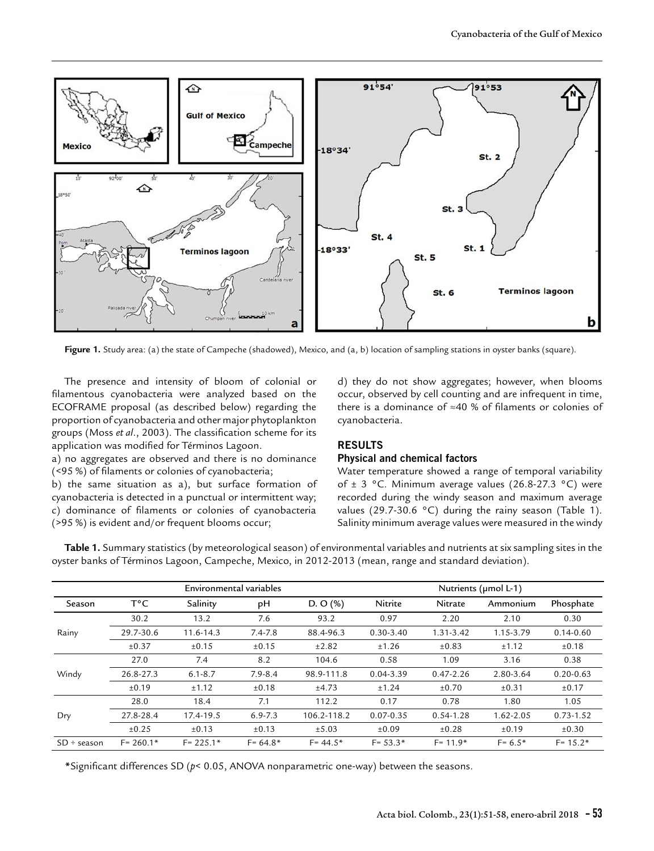

**Figure 1.** Study area: (a) the state of Campeche (shadowed), Mexico, and (a, b) location of sampling stations in oyster banks (square).

The presence and intensity of bloom of colonial or filamentous cyanobacteria were analyzed based on the ECOFRAME proposal (as described below) regarding the proportion of cyanobacteria and other major phytoplankton groups (Moss *et al*., 2003). The classification scheme for its application was modified for Términos Lagoon.

a) no aggregates are observed and there is no dominance (<95 %) of filaments or colonies of cyanobacteria;

b) the same situation as a), but surface formation of cyanobacteria is detected in a punctual or intermittent way; c) dominance of filaments or colonies of cyanobacteria (>95 %) is evident and/or frequent blooms occur;

d) they do not show aggregates; however, when blooms occur, observed by cell counting and are infrequent in time, there is a dominance of ≈40 % of filaments or colonies of cyanobacteria.

# **RESULTS**

### **Physical and chemical factors**

Water temperature showed a range of temporal variability of  $\pm$  3 °C. Minimum average values (26.8-27.3 °C) were recorded during the windy season and maximum average values (29.7-30.6 °C) during the rainy season (Table 1). Salinity minimum average values were measured in the windy

**Table 1.** Summary statistics (by meteorological season) of environmental variables and nutrients at six sampling sites in the oyster banks of Términos Lagoon, Campeche, Mexico, in 2012-2013 (mean, range and standard deviation).

|                  | Environmental variables |               |             |             | Nutrients (umol L-1) |                |               |               |
|------------------|-------------------------|---------------|-------------|-------------|----------------------|----------------|---------------|---------------|
| Season           | Т°С                     | Salinity      | pH          | D. O $(\%)$ | Nitrite              | <b>Nitrate</b> | Ammonium      | Phosphate     |
|                  | 30.2                    | 13.2          | 7.6         | 93.2        | 0.97                 | 2.20           | 2.10          | 0.30          |
| Rainy            | 29.7-30.6               | $11.6 - 14.3$ | $7.4 - 7.8$ | 88.4-96.3   | $0.30 - 3.40$        | 1.31-3.42      | 1.15-3.79     | $0.14 - 0.60$ |
|                  | $\pm 0.37$              | ±0.15         | ±0.15       | ±2.82       | ±1.26                | ±0.83          | ±1.12         | ±0.18         |
| Windy            | 27.0                    | 7.4           | 8.2         | 104.6       | 0.58                 | 1.09           | 3.16          | 0.38          |
|                  | 26.8-27.3               | $6.1 - 8.7$   | $7.9 - 8.4$ | 98.9-111.8  | 0.04-3.39            | $0.47 - 2.26$  | 2.80-3.64     | $0.20 - 0.63$ |
|                  | ±0.19                   | ±1.12         | ±0.18       | ±4.73       | ±1.24                | ±0.70          | ±0.31         | $\pm 0.17$    |
|                  | 28.0                    | 18.4          | 7.1         | 112.2       | 0.17                 | 0.78           | 1.80          | 1.05          |
| Dry              | 27.8-28.4               | 17.4-19.5     | $6.9 - 7.3$ | 106.2-118.2 | $0.07 - 0.35$        | $0.54 - 1.28$  | $1.62 - 2.05$ | $0.73 - 1.52$ |
|                  | ±0.25                   | $\pm 0.13$    | ±0.13       | ±5.03       | ±0.09                | ±0.28          | ±0.19         | $\pm 0.30$    |
| $SD \div$ season | $F = 260.1*$            | $F = 225.1*$  | $F = 64.8*$ | $F = 44.5*$ | $F = 53.3*$          | $F = 11.9*$    | $F = 6.5*$    | $F = 15.2*$   |

**\***Significant differences SD (*p*< 0.05, ANOVA nonparametric one-way) between the seasons.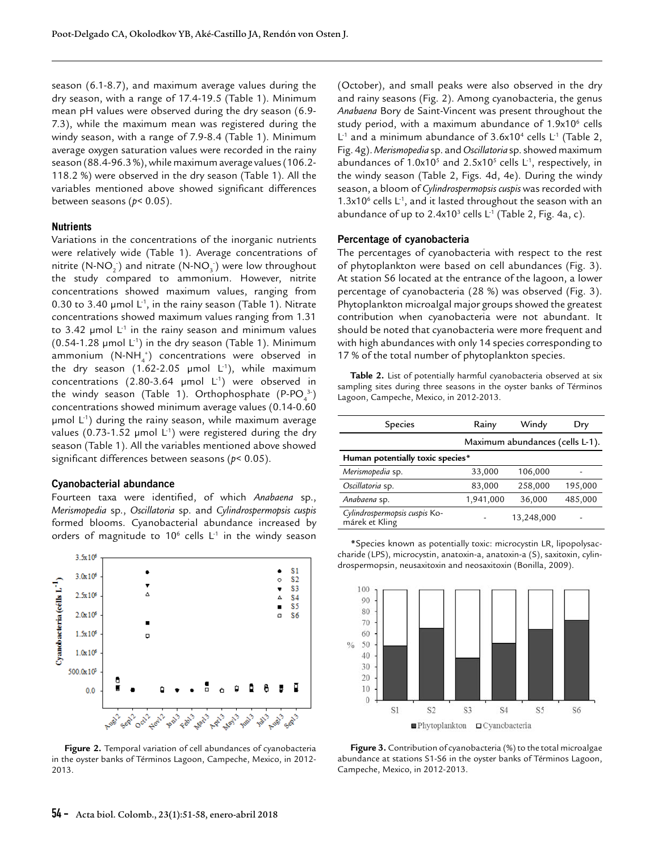season (6.1-8.7), and maximum average values during the dry season, with a range of 17.4-19.5 (Table 1). Minimum mean pH values were observed during the dry season (6.9- 7.3), while the maximum mean was registered during the windy season, with a range of 7.9-8.4 (Table 1). Minimum average oxygen saturation values were recorded in the rainy season (88.4-96.3 %), while maximum average values (106.2- 118.2 %) were observed in the dry season (Table 1). All the variables mentioned above showed significant differences between seasons (*p*< 0.05).

#### **Nutrients**

Variations in the concentrations of the inorganic nutrients were relatively wide (Table 1). Average concentrations of nitrite  $(N-NO_2^-)$  and nitrate  $(N-NO_3^-)$  were low throughout the study compared to ammonium. However, nitrite concentrations showed maximum values, ranging from 0.30 to 3.40 µmol  $L^1$ , in the rainy season (Table 1). Nitrate concentrations showed maximum values ranging from 1.31 to 3.42  $\mu$ mol L<sup>1</sup> in the rainy season and minimum values  $(0.54-1.28 \mu \text{mol L}^{-1})$  in the dry season (Table 1). Minimum  $\mathsf{a}$ mmonium  $(\mathsf{N}\text{-}\mathsf{NH}_{\mathsf{4}}^+)$  concentrations were observed in the dry season (1.62-2.05  $\mu$ mol L<sup>-1</sup>), while maximum concentrations (2.80-3.64  $\mu$ mol L<sup>-1</sup>) were observed in the windy season (Table 1). Orthophosphate  $($ P-PO $_4^{3}$  $)$ concentrations showed minimum average values (0.14-0.60  $\mu$ mol L<sup>-1</sup>) during the rainy season, while maximum average values (0.73-1.52 µmol  $L^{-1}$ ) were registered during the dry season (Table 1). All the variables mentioned above showed significant differences between seasons (*p*< 0.05).

#### **Cyanobacterial abundance**

Fourteen taxa were identified, of which *Anabaena* sp., *Merismopedia* sp., *Oscillatoria* sp. and *Cylindrospermopsis cuspis* formed blooms. Cyanobacterial abundance increased by orders of magnitude to  $10^6$  cells  $L^1$  in the windy season



**Figure 2.** Temporal variation of cell abundances of cyanobacteria in the oyster banks of Términos Lagoon, Campeche, Mexico, in 2012- 2013.

(October), and small peaks were also observed in the dry and rainy seasons (Fig. 2). Among cyanobacteria, the genus *Anabaena* Bory de Saint-Vincent was present throughout the study period, with a maximum abundance of 1.9x10<sup>6</sup> cells  $L^1$  and a minimum abundance of 3.6x10<sup>4</sup> cells  $L^1$  (Table 2, Fig. 4g). *Merismopedia* sp. and *Oscillatoria* sp. showed maximum abundances of  $1.0x10<sup>5</sup>$  and  $2.5x10<sup>5</sup>$  cells L<sup>-1</sup>, respectively, in the windy season (Table 2, Figs. 4d, 4e). During the windy season, a bloom of *Cylindrospermopsis cuspis* was recorded with  $1.3x10<sup>6</sup>$  cells L<sup>-1</sup>, and it lasted throughout the season with an abundance of up to 2.4x10<sup>3</sup> cells  $L^1$  (Table 2, Fig. 4a, c).

#### **Percentage of cyanobacteria**

The percentages of cyanobacteria with respect to the rest of phytoplankton were based on cell abundances (Fig. 3). At station S6 located at the entrance of the lagoon, a lower percentage of cyanobacteria (28 %) was observed (Fig. 3). Phytoplankton microalgal major groups showed the greatest contribution when cyanobacteria were not abundant. It should be noted that cyanobacteria were more frequent and with high abundances with only 14 species corresponding to 17 % of the total number of phytoplankton species.

**Table 2.** List of potentially harmful cyanobacteria observed at six sampling sites during three seasons in the oyster banks of Términos Lagoon, Campeche, Mexico, in 2012-2013.

| <b>Species</b>                                  | Rainy     | Windy      | Dry     |  |  |  |  |
|-------------------------------------------------|-----------|------------|---------|--|--|--|--|
| Maximum abundances (cells L-1).                 |           |            |         |  |  |  |  |
| Human potentially toxic species*                |           |            |         |  |  |  |  |
| Merismopedia sp.                                | 33,000    | 106,000    |         |  |  |  |  |
| Oscillatoria sp.                                | 83,000    | 258,000    | 195,000 |  |  |  |  |
| Anabaena sp.                                    | 1,941,000 | 36,000     | 485,000 |  |  |  |  |
| Cylindrospermopsis cuspis Ko-<br>márek et Kling |           | 13,248,000 |         |  |  |  |  |

**\***Species known as potentially toxic: microcystin LR, lipopolysaccharide (LPS), microcystin, anatoxin-a, anatoxin-a (S), saxitoxin, cylindrospermopsin, neusaxitoxin and neosaxitoxin (Bonilla, 2009).



**Figure 3.** Contribution of cyanobacteria (%) to the total microalgae abundance at stations S1-S6 in the oyster banks of Términos Lagoon, Campeche, Mexico, in 2012-2013.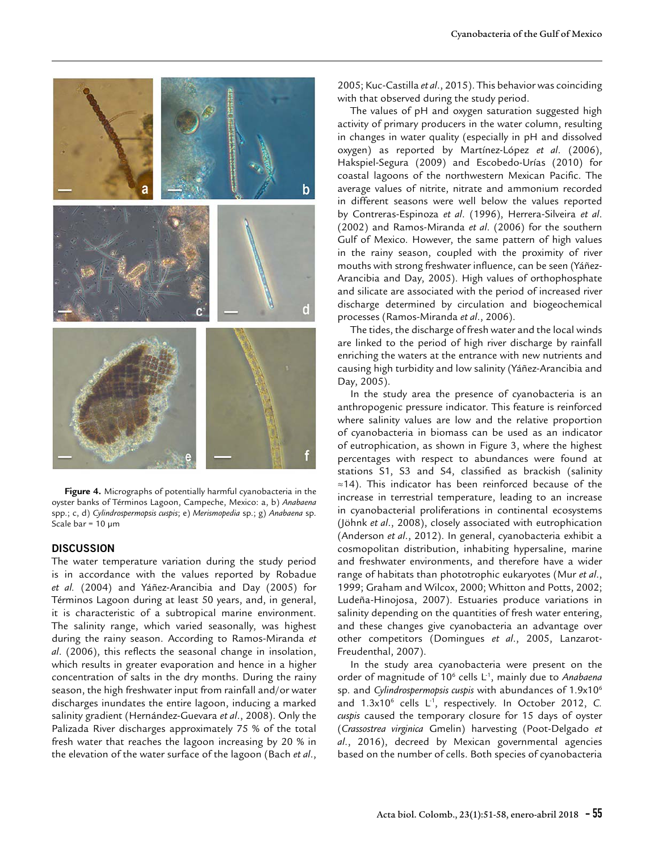

**Figure 4.** Micrographs of potentially harmful cyanobacteria in the oyster banks of Términos Lagoon, Campeche, Mexico: a, b) *Anabaena* spp.; c, d) *Cylindrospermopsis cuspis*; e) *Merismopedia* sp.; g) *Anabaena* sp. Scale bar =  $10 \mu m$ 

# **DISCUSSION**

The water temperature variation during the study period is in accordance with the values reported by Robadue *et al.* (2004) and Yáñez-Arancibia and Day (2005) for Términos Lagoon during at least 50 years, and, in general, it is characteristic of a subtropical marine environment. The salinity range, which varied seasonally, was highest during the rainy season. According to Ramos-Miranda *et al*. (2006), this reflects the seasonal change in insolation, which results in greater evaporation and hence in a higher concentration of salts in the dry months. During the rainy season, the high freshwater input from rainfall and/or water discharges inundates the entire lagoon, inducing a marked salinity gradient (Hernández-Guevara *et al*., 2008). Only the Palizada River discharges approximately 75 % of the total fresh water that reaches the lagoon increasing by 20 % in the elevation of the water surface of the lagoon (Bach *et al*.,

2005; Kuc-Castilla *et al*., 2015). This behavior was coinciding with that observed during the study period.

The values of pH and oxygen saturation suggested high activity of primary producers in the water column, resulting in changes in water quality (especially in pH and dissolved oxygen) as reported by Martínez-López *et al*. (2006), Hakspiel-Segura (2009) and Escobedo-Urías (2010) for coastal lagoons of the northwestern Mexican Pacific. The average values of nitrite, nitrate and ammonium recorded in different seasons were well below the values reported by Contreras-Espinoza *et al*. (1996), Herrera-Silveira *et al*. (2002) and Ramos-Miranda *et al*. (2006) for the southern Gulf of Mexico. However, the same pattern of high values in the rainy season, coupled with the proximity of river mouths with strong freshwater influence, can be seen (Yáñez-Arancibia and Day, 2005). High values of orthophosphate and silicate are associated with the period of increased river discharge determined by circulation and biogeochemical processes (Ramos-Miranda *et al*., 2006).

The tides, the discharge of fresh water and the local winds are linked to the period of high river discharge by rainfall enriching the waters at the entrance with new nutrients and causing high turbidity and low salinity (Yáñez-Arancibia and Day, 2005).

In the study area the presence of cyanobacteria is an anthropogenic pressure indicator. This feature is reinforced where salinity values are low and the relative proportion of cyanobacteria in biomass can be used as an indicator of eutrophication, as shown in Figure 3, where the highest percentages with respect to abundances were found at stations S1, S3 and S4, classified as brackish (salinity ≈14). This indicator has been reinforced because of the increase in terrestrial temperature, leading to an increase in cyanobacterial proliferations in continental ecosystems (Jöhnk *et al*., 2008), closely associated with eutrophication (Anderson *et al*., 2012). In general, cyanobacteria exhibit a cosmopolitan distribution, inhabiting hypersaline, marine and freshwater environments, and therefore have a wider range of habitats than phototrophic eukaryotes (Mur *et al*., 1999; Graham and Wilcox, 2000; Whitton and Potts, 2002; Ludeña-Hinojosa, 2007). Estuaries produce variations in salinity depending on the quantities of fresh water entering, and these changes give cyanobacteria an advantage over other competitors (Domingues *et al*., 2005, Lanzarot-Freudenthal, 2007).

In the study area cyanobacteria were present on the order of magnitude of 10<sup>6</sup> cells L<sup>-1</sup>, mainly due to Anabaena sp. and *Cylindrospermopsis cuspis* with abundances of 1.9x106 and 1.3x10<sup>6</sup> cells L<sup>-1</sup>, respectively. In October 2012, C. *cuspis* caused the temporary closure for 15 days of oyster (*Crassostrea virginica* Gmelin) harvesting (Poot-Delgado *et al*., 2016), decreed by Mexican governmental agencies based on the number of cells. Both species of cyanobacteria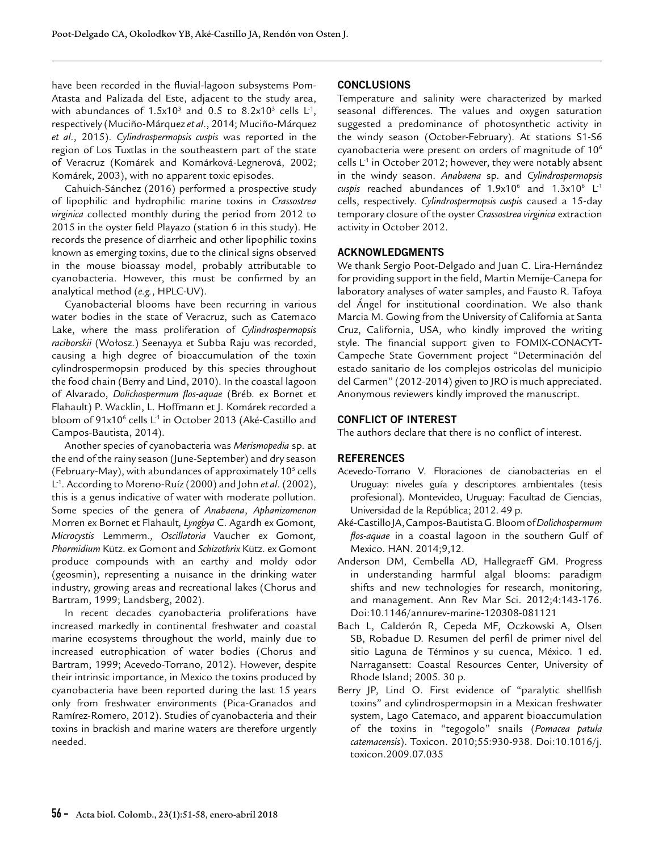have been recorded in the fluvial-lagoon subsystems Pom-Atasta and Palizada del Este, adjacent to the study area, with abundances of 1.5x10<sup>3</sup> and 0.5 to 8.2x10<sup>3</sup> cells  $L^1$ , respectively (Muciño-Márquez *et al*., 2014; Muciño-Márquez *et al*., 2015). *Cylindrospermopsis cuspis* was reported in the region of Los Tuxtlas in the southeastern part of the state of Veracruz (Komárek and Komárková-Legnerová, 2002; Komárek, 2003), with no apparent toxic episodes.

Cahuich-Sánchez (2016) performed a prospective study of lipophilic and hydrophilic marine toxins in *Crassostrea virginica* collected monthly during the period from 2012 to 2015 in the oyster field Playazo (station 6 in this study). He records the presence of diarrheic and other lipophilic toxins known as emerging toxins, due to the clinical signs observed in the mouse bioassay model, probably attributable to cyanobacteria. However, this must be confirmed by an analytical method (*e.g.*, HPLC-UV).

Cyanobacterial blooms have been recurring in various water bodies in the state of Veracruz, such as Catemaco Lake, where the mass proliferation of *Cylindrospermopsis raciborskii* (Wołosz.) Seenayya et Subba Raju was recorded, causing a high degree of bioaccumulation of the toxin cylindrospermopsin produced by this species throughout the food chain (Berry and Lind, 2010). In the coastal lagoon of Alvarado, *Dolichospermum flos-aquae* (Bréb. ex Bornet et Flahault) P. Wacklin, L. Hoffmann et J. Komárek recorded a bloom of 91x10<sup>6</sup> cells L<sup>-1</sup> in October 2013 (Aké-Castillo and Campos-Bautista, 2014).

Another species of cyanobacteria was *Merismopedia* sp. at the end of the rainy season (June-September) and dry season (February-May), with abundances of approximately  $10<sup>5</sup>$  cells L-1. According to Moreno-Ruíz (2000) and John *et al*. (2002), this is a genus indicative of water with moderate pollution. Some species of the genera of *Anabaena*, *Aphanizomenon*  Morren ex Bornet et Flahault*, Lyngbya* C. Agardh ex Gomont*, Microcystis* Lemmerm.*, Oscillatoria* Vaucher ex Gomont*, Phormidium* Kütz. ex Gomont and *Schizothrix* Kütz. ex Gomont produce compounds with an earthy and moldy odor (geosmin), representing a nuisance in the drinking water industry, growing areas and recreational lakes (Chorus and Bartram, 1999; Landsberg, 2002).

In recent decades cyanobacteria proliferations have increased markedly in continental freshwater and coastal marine ecosystems throughout the world, mainly due to increased eutrophication of water bodies (Chorus and Bartram, 1999; Acevedo-Torrano, 2012). However, despite their intrinsic importance, in Mexico the toxins produced by cyanobacteria have been reported during the last 15 years only from freshwater environments (Pica-Granados and Ramírez-Romero, 2012). Studies of cyanobacteria and their toxins in brackish and marine waters are therefore urgently needed.

# **CONCLUSIONS**

Temperature and salinity were characterized by marked seasonal differences. The values and oxygen saturation suggested a predominance of photosynthetic activity in the windy season (October-February). At stations S1-S6 cyanobacteria were present on orders of magnitude of 10<sup>6</sup> cells  $L^1$  in October 2012; however, they were notably absent in the windy season. *Anabaena* sp. and *Cylindrospermopsis*   $cuspis$  reached abundances of 1.9x10<sup>6</sup> and 1.3x10<sup>6</sup> L<sup>-1</sup> cells, respectively. *Cylindrospermopsis cuspis* caused a 15-day temporary closure of the oyster *Crassostrea virginica* extraction activity in October 2012.

# **ACKNOWLEDGMENTS**

We thank Sergio Poot-Delgado and Juan C. Lira-Hernández for providing support in the field, Martin Memije-Canepa for laboratory analyses of water samples, and Fausto R. Tafoya del Ángel for institutional coordination. We also thank Marcia M. Gowing from the University of California at Santa Cruz, California, USA, who kindly improved the writing style. The financial support given to FOMIX-CONACYT-Campeche State Government project "Determinación del estado sanitario de los complejos ostricolas del municipio del Carmen" (2012-2014) given to JRO is much appreciated. Anonymous reviewers kindly improved the manuscript.

#### **CONFLICT OF INTEREST**

The authors declare that there is no conflict of interest.

#### **REFERENCES**

- Acevedo-Torrano V. Floraciones de cianobacterias en el Uruguay: niveles guía y descriptores ambientales (tesis profesional). Montevideo, Uruguay: Facultad de Ciencias, Universidad de la República; 2012. 49 p.
- Aké-Castillo JA, Campos-Bautista G. Bloom of *Dolichospermum flos-aquae* in a coastal lagoon in the southern Gulf of Mexico. HAN. 2014;9,12.
- Anderson DM, Cembella AD, Hallegraeff GM. Progress in understanding harmful algal blooms: paradigm shifts and new technologies for research, monitoring, and management. Ann Rev Mar Sci. 2012;4:143-176. Doi:10.1146/annurev-marine-120308-081121
- Bach L, Calderón R, Cepeda MF, Oczkowski A, Olsen SB, Robadue D. Resumen del perfil de primer nivel del sitio Laguna de Términos y su cuenca, México. 1 ed. Narragansett: Coastal Resources Center, University of Rhode Island; 2005. 30 p.
- Berry JP, Lind O. First evidence of "paralytic shellfish toxins" and cylindrospermopsin in a Mexican freshwater system, Lago Catemaco, and apparent bioaccumulation of the toxins in "tegogolo" snails (*Pomacea patula catemacensis*). Toxicon. 2010;55:930-938. Doi:10.1016/j. toxicon.2009.07.035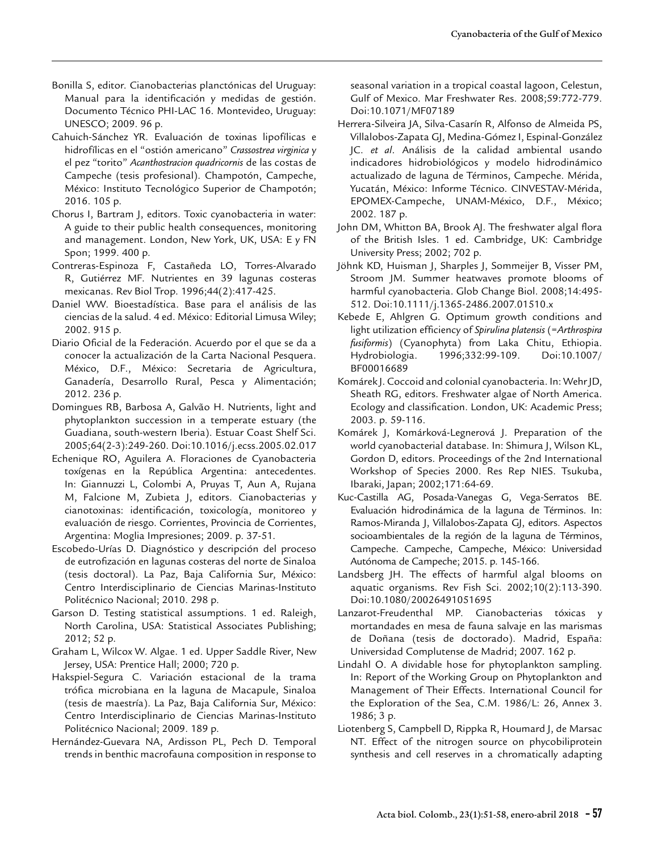- Bonilla S, editor. Cianobacterias planctónicas del Uruguay: Manual para la identificación y medidas de gestión. Documento Técnico PHI-LAC 16. Montevideo, Uruguay: UNESCO; 2009. 96 p.
- Cahuich-Sánchez YR. Evaluación de toxinas lipofílicas e hidrofílicas en el "ostión americano" *Crassostrea virginica* y el pez "torito" *Acanthostracion quadricornis* de las costas de Campeche (tesis profesional). Champotón, Campeche, México: Instituto Tecnológico Superior de Champotón; 2016. 105 p.
- Chorus I, Bartram J, editors. Toxic cyanobacteria in water: A guide to their public health consequences, monitoring and management. London, New York, UK, USA: E y FN Spon; 1999. 400 p.
- Contreras-Espinoza F, Castañeda LO, Torres-Alvarado R, Gutiérrez MF. Nutrientes en 39 lagunas costeras mexicanas. Rev Biol Trop. 1996;44(2):417-425.
- Daniel WW. Bioestadística. Base para el análisis de las ciencias de la salud. 4 ed. México: Editorial Limusa Wiley; 2002. 915 p.
- Diario Oficial de la Federación. Acuerdo por el que se da a conocer la actualización de la Carta Nacional Pesquera. México, D.F., México: Secretaria de Agricultura, Ganadería, Desarrollo Rural, Pesca y Alimentación; 2012. 236 p.
- Domingues RB, Barbosa A, Galvão H. Nutrients, light and phytoplankton succession in a temperate estuary (the Guadiana, south-western Iberia). Estuar Coast Shelf Sci. 2005;64(2-3):249-260. Doi:[10.1016/j.ecss.2005.02.017](https://doi.org/10.1016/j.ecss.2005.02.017)
- Echenique RO, Aguilera A. Floraciones de Cyanobacteria toxígenas en la República Argentina: antecedentes. In: Giannuzzi L, Colombi A, Pruyas T, Aun A, Rujana M, Falcione M, Zubieta J, editors. Cianobacterias y cianotoxinas: identificación, toxicología, monitoreo y evaluación de riesgo. Corrientes, Provincia de Corrientes, Argentina: Moglia Impresiones; 2009. p. 37-51.
- Escobedo-Urías D. Diagnóstico y descripción del proceso de eutrofización en lagunas costeras del norte de Sinaloa (tesis doctoral). La Paz, Baja California Sur, México: Centro Interdisciplinario de Ciencias Marinas-Instituto Politécnico Nacional; 2010. 298 p.
- Garson D. Testing statistical assumptions. 1 ed. Raleigh, North Carolina, USA: Statistical Associates Publishing; 2012; 52 p.
- Graham L, Wilcox W. Algae. 1 ed. Upper Saddle River, New Jersey, USA: Prentice Hall; 2000; 720 p.
- Hakspiel-Segura C. Variación estacional de la trama trófica microbiana en la laguna de Macapule, Sinaloa (tesis de maestría). La Paz, Baja California Sur, México: Centro Interdisciplinario de Ciencias Marinas-Instituto Politécnico Nacional; 2009. 189 p.
- Hernández-Guevara NA, Ardisson PL, Pech D. Temporal trends in benthic macrofauna composition in response to

seasonal variation in a tropical coastal lagoon, Celestun, Gulf of Mexico. Mar Freshwater Res. 2008;59:772-779. Doi:[10.1071/MF07189](https://doi.org/10.1071/MF07189)

- Herrera-Silveira JA, Silva-Casarín R, Alfonso de Almeida PS, Villalobos-Zapata GJ, Medina-Gómez I, Espinal-González JC. *et al*. Análisis de la calidad ambiental usando indicadores hidrobiológicos y modelo hidrodinámico actualizado de laguna de Términos, Campeche. Mérida, Yucatán, México: Informe Técnico. CINVESTAV-Mérida, EPOMEX-Campeche, UNAM-México, D.F., México; 2002. 187 p.
- John DM, Whitton BA, Brook AJ. The freshwater algal flora of the British Isles. 1 ed. Cambridge, UK: Cambridge University Press; 2002; 702 p.
- Jöhnk KD, Huisman J, Sharples J, Sommeijer B, Visser PM, Stroom JM. Summer heatwaves promote blooms of harmful cyanobacteria. Glob Change Biol. 2008;14:495- 512. Doi:10.1111/j.1365-2486.2007.01510.x
- Kebede E, Ahlgren G. Optimum growth conditions and light utilization efficiency of *Spirulina platensis* (=*Arthrospira fusiformis*) (Cyanophyta) from Laka Chitu, Ethiopia. Hydrobiologia. 1996;332:99-109. Doi:10.1007/ BF00016689
- Komárek J. Coccoid and colonial cyanobacteria. In: Wehr JD, Sheath RG, editors. Freshwater algae of North America. Ecology and classification. London, UK: Academic Press; 2003. p. 59-116.
- Komárek J, Komárková-Legnerová J. Preparation of the world cyanobacterial database. In: Shimura J, Wilson KL, Gordon D, editors. Proceedings of the 2nd International Workshop of Species 2000. Res Rep NIES. Tsukuba, Ibaraki, Japan; 2002;171:64-69.
- Kuc-Castilla AG, Posada-Vanegas G, Vega-Serratos BE. Evaluación hidrodinámica de la laguna de Términos. In: Ramos-Miranda J, Villalobos-Zapata GJ, editors. Aspectos socioambientales de la región de la laguna de Términos, Campeche. Campeche, Campeche, México: Universidad Autónoma de Campeche; 2015. p. 145-166.
- Landsberg JH. The effects of harmful algal blooms on aquatic organisms. Rev Fish Sci. 2002;10(2):113-390. Doi:10.1080/20026491051695
- Lanzarot-Freudenthal MP. Cianobacterias tóxicas y mortandades en mesa de fauna salvaje en las marismas de Doñana (tesis de doctorado). Madrid, España: Universidad Complutense de Madrid; 2007. 162 p.
- Lindahl O. A dividable hose for phytoplankton sampling. In: Report of the Working Group on Phytoplankton and Management of Their Effects. International Council for the Exploration of the Sea, C.M. 1986/L: 26, Annex 3. 1986; 3 p.
- Liotenberg S, Campbell D, Rippka R, Houmard J, de Marsac NT. Effect of the nitrogen source on phycobiliprotein synthesis and cell reserves in a chromatically adapting